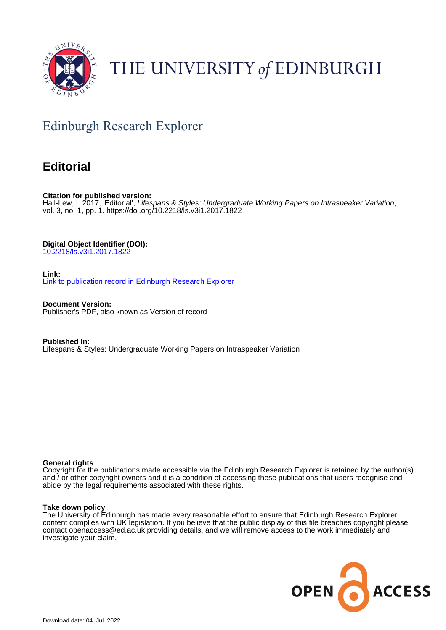

# THE UNIVERSITY of EDINBURGH

# Edinburgh Research Explorer

### **Editorial**

**Citation for published version:** Hall-Lew, L 2017, 'Editorial', Lifespans & Styles: Undergraduate Working Papers on Intraspeaker Variation, vol. 3, no. 1, pp. 1.<https://doi.org/10.2218/ls.v3i1.2017.1822>

**Digital Object Identifier (DOI):**

[10.2218/ls.v3i1.2017.1822](https://doi.org/10.2218/ls.v3i1.2017.1822)

**Link:**

[Link to publication record in Edinburgh Research Explorer](https://www.research.ed.ac.uk/en/publications/95345a48-4201-4e25-bf99-36c50fdf5396)

**Document Version:** Publisher's PDF, also known as Version of record

**Published In:** Lifespans & Styles: Undergraduate Working Papers on Intraspeaker Variation

#### **General rights**

Copyright for the publications made accessible via the Edinburgh Research Explorer is retained by the author(s) and / or other copyright owners and it is a condition of accessing these publications that users recognise and abide by the legal requirements associated with these rights.

#### **Take down policy**

The University of Edinburgh has made every reasonable effort to ensure that Edinburgh Research Explorer content complies with UK legislation. If you believe that the public display of this file breaches copyright please contact openaccess@ed.ac.uk providing details, and we will remove access to the work immediately and investigate your claim.

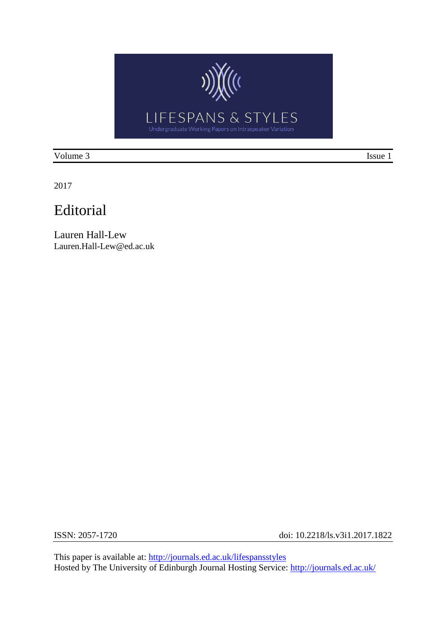

Volume 3 Issue 1

2017

## Editorial

Lauren Hall-Lew Lauren.Hall-Lew@ed.ac.uk

ISSN: 2057-1720 doi: 10.2218/ls.v3i1.2017.1822

This paper is available at:<http://journals.ed.ac.uk/lifespansstyles> Hosted by The University of Edinburgh Journal Hosting Service:<http://journals.ed.ac.uk/>